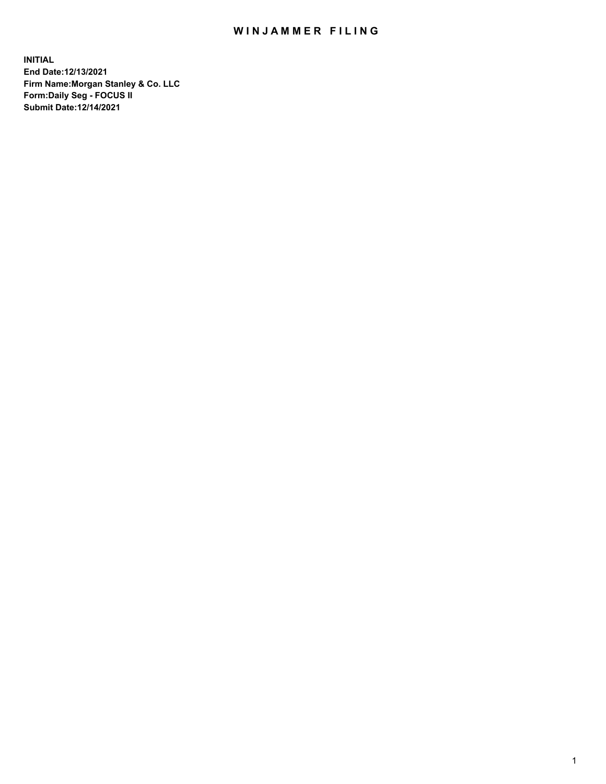## WIN JAMMER FILING

**INITIAL End Date:12/13/2021 Firm Name:Morgan Stanley & Co. LLC Form:Daily Seg - FOCUS II Submit Date:12/14/2021**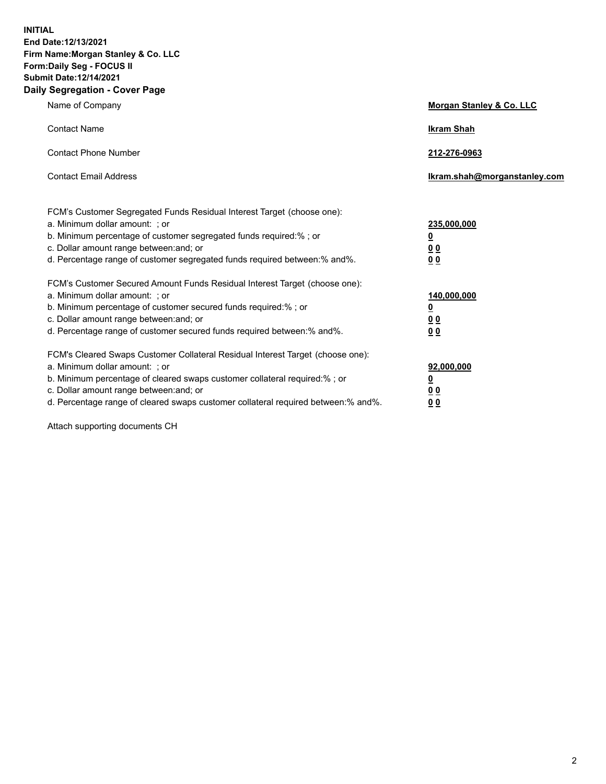**INITIAL End Date:12/13/2021 Firm Name:Morgan Stanley & Co. LLC Form:Daily Seg - FOCUS II Submit Date:12/14/2021 Daily Segregation - Cover Page**

| Name of Company                                                                                                                                                                                                                                                                                                                | Morgan Stanley & Co. LLC                                |
|--------------------------------------------------------------------------------------------------------------------------------------------------------------------------------------------------------------------------------------------------------------------------------------------------------------------------------|---------------------------------------------------------|
| <b>Contact Name</b>                                                                                                                                                                                                                                                                                                            | <b>Ikram Shah</b>                                       |
| <b>Contact Phone Number</b>                                                                                                                                                                                                                                                                                                    | 212-276-0963                                            |
| <b>Contact Email Address</b>                                                                                                                                                                                                                                                                                                   | Ikram.shah@morganstanley.com                            |
| FCM's Customer Segregated Funds Residual Interest Target (choose one):<br>a. Minimum dollar amount: ; or<br>b. Minimum percentage of customer segregated funds required:%; or<br>c. Dollar amount range between: and; or<br>d. Percentage range of customer segregated funds required between: % and %.                        | 235,000,000<br><u>0</u><br>00<br>0 Q                    |
| FCM's Customer Secured Amount Funds Residual Interest Target (choose one):<br>a. Minimum dollar amount: ; or<br>b. Minimum percentage of customer secured funds required:%; or<br>c. Dollar amount range between: and; or<br>d. Percentage range of customer secured funds required between:% and%.                            | 140,000,000<br><u>0</u><br><u>0 0</u><br>0 <sub>0</sub> |
| FCM's Cleared Swaps Customer Collateral Residual Interest Target (choose one):<br>a. Minimum dollar amount: ; or<br>b. Minimum percentage of cleared swaps customer collateral required:% ; or<br>c. Dollar amount range between: and; or<br>d. Percentage range of cleared swaps customer collateral required between:% and%. | 92,000,000<br><u>0</u><br><u>00</u><br>00               |

Attach supporting documents CH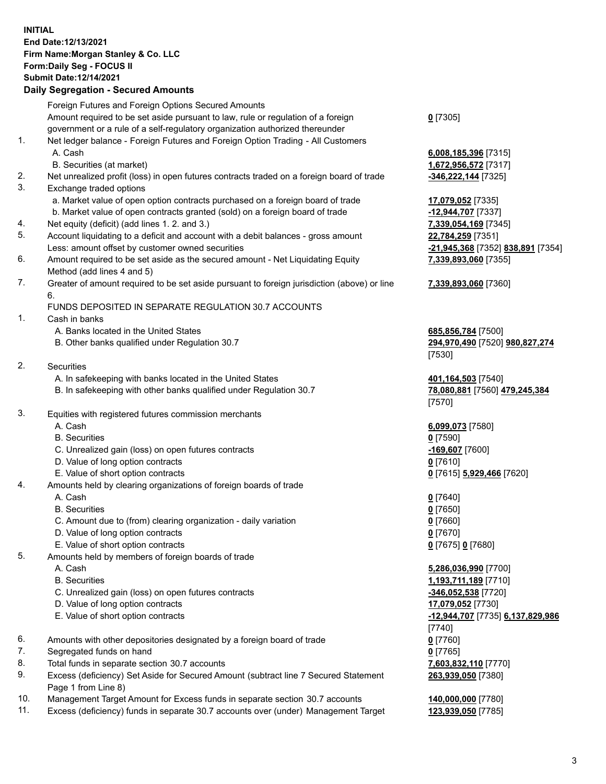## **INITIAL End Date:12/13/2021 Firm Name:Morgan Stanley & Co. LLC Form:Daily Seg - FOCUS II Submit Date:12/14/2021**

## **Daily Segregation - Secured Amounts**

Foreign Futures and Foreign Options Secured Amounts Amount required to be set aside pursuant to law, rule or regulation of a foreign government or a rule of a self-regulatory organization authorized thereunder 1. Net ledger balance - Foreign Futures and Foreign Option Trading - All Customers A. Cash **6,008,185,396** [7315] B. Securities (at market) **1,672,956,572** [7317] 2. Net unrealized profit (loss) in open futures contracts traded on a foreign board of trade **-346,222,144** [7325] 3. Exchange traded options a. Market value of open option contracts purchased on a foreign board of trade **17,079,052** [7335] b. Market value of open contracts granted (sold) on a foreign board of trade **-12,944,707** [7337] 4. Net equity (deficit) (add lines 1. 2. and 3.) **7,339,054,169** [7345] 5. Account liquidating to a deficit and account with a debit balances - gross amount **22,784,259** [7351] Less: amount offset by customer owned securities **-21,945,368** [7352] **838,891** [7354] 6. Amount required to be set aside as the secured amount - Net Liquidating Equity Method (add lines 4 and 5) 7. Greater of amount required to be set aside pursuant to foreign jurisdiction (above) or line 6. FUNDS DEPOSITED IN SEPARATE REGULATION 30.7 ACCOUNTS 1. Cash in banks A. Banks located in the United States **685,856,784** [7500] B. Other banks qualified under Regulation 30.7 **294,970,490** [7520] **980,827,274** 2. Securities A. In safekeeping with banks located in the United States **401,164,503** [7540] B. In safekeeping with other banks qualified under Regulation 30.7 **78,080,881** [7560] **479,245,384** 3. Equities with registered futures commission merchants A. Cash **6,099,073** [7580] B. Securities **0** [7590] C. Unrealized gain (loss) on open futures contracts **-169,607** [7600] D. Value of long option contracts **0** [7610] E. Value of short option contracts **0** [7615] **5,929,466** [7620] 4. Amounts held by clearing organizations of foreign boards of trade A. Cash **0** [7640] B. Securities **0** [7650] C. Amount due to (from) clearing organization - daily variation **0** [7660] D. Value of long option contracts **0** [7670] E. Value of short option contracts **0** [7675] **0** [7680] 5. Amounts held by members of foreign boards of trade A. Cash **5,286,036,990** [7700] B. Securities **1,193,711,189** [7710] C. Unrealized gain (loss) on open futures contracts **-346,052,538** [7720] D. Value of long option contracts **17,079,052** [7730] E. Value of short option contracts **-12,944,707** [7735] **6,137,829,986** 6. Amounts with other depositories designated by a foreign board of trade **0** [7760] 7. Segregated funds on hand **0** [7765] 8. Total funds in separate section 30.7 accounts **7,603,832,110** [7770] 9. Excess (deficiency) Set Aside for Secured Amount (subtract line 7 Secured Statement Page 1 from Line 8)

- 10. Management Target Amount for Excess funds in separate section 30.7 accounts **140,000,000** [7780]
- 11. Excess (deficiency) funds in separate 30.7 accounts over (under) Management Target **123,939,050** [7785]

**0** [7305]

**7,339,893,060** [7355]

## **7,339,893,060** [7360]

[7530]

[7570]

[7740] **263,939,050** [7380]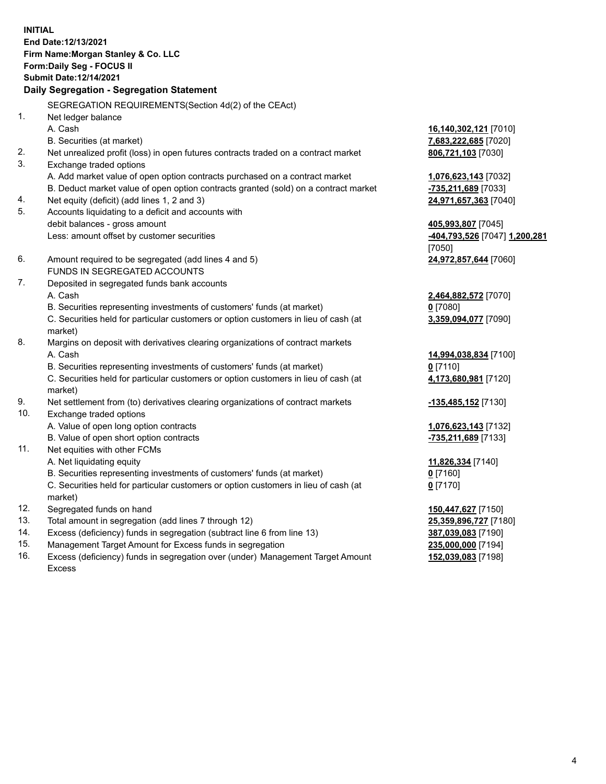**INITIAL End Date:12/13/2021 Firm Name:Morgan Stanley & Co. LLC Form:Daily Seg - FOCUS II Submit Date:12/14/2021 Daily Segregation - Segregation Statement** SEGREGATION REQUIREMENTS(Section 4d(2) of the CEAct) 1. Net ledger balance A. Cash **16,140,302,121** [7010] B. Securities (at market) **7,683,222,685** [7020] 2. Net unrealized profit (loss) in open futures contracts traded on a contract market **806,721,103** [7030] 3. Exchange traded options A. Add market value of open option contracts purchased on a contract market **1,076,623,143** [7032] B. Deduct market value of open option contracts granted (sold) on a contract market **-735,211,689** [7033] 4. Net equity (deficit) (add lines 1, 2 and 3) **24,971,657,363** [7040] 5. Accounts liquidating to a deficit and accounts with debit balances - gross amount **405,993,807** [7045] Less: amount offset by customer securities **-404,793,526** [7047] **1,200,281** [7050] 6. Amount required to be segregated (add lines 4 and 5) **24,972,857,644** [7060] FUNDS IN SEGREGATED ACCOUNTS 7. Deposited in segregated funds bank accounts A. Cash **2,464,882,572** [7070] B. Securities representing investments of customers' funds (at market) **0** [7080] C. Securities held for particular customers or option customers in lieu of cash (at market) **3,359,094,077** [7090] 8. Margins on deposit with derivatives clearing organizations of contract markets A. Cash **14,994,038,834** [7100] B. Securities representing investments of customers' funds (at market) **0** [7110] C. Securities held for particular customers or option customers in lieu of cash (at market) **4,173,680,981** [7120] 9. Net settlement from (to) derivatives clearing organizations of contract markets **-135,485,152** [7130] 10. Exchange traded options A. Value of open long option contracts **1,076,623,143** [7132] B. Value of open short option contracts **-735,211,689** [7133] 11. Net equities with other FCMs A. Net liquidating equity **11,826,334** [7140] B. Securities representing investments of customers' funds (at market) **0** [7160] C. Securities held for particular customers or option customers in lieu of cash (at market) **0** [7170] 12. Segregated funds on hand **150,447,627** [7150] 13. Total amount in segregation (add lines 7 through 12) **25,359,896,727** [7180] 14. Excess (deficiency) funds in segregation (subtract line 6 from line 13) **387,039,083** [7190] 15. Management Target Amount for Excess funds in segregation **235,000,000** [7194]

16. Excess (deficiency) funds in segregation over (under) Management Target Amount Excess

**152,039,083** [7198]